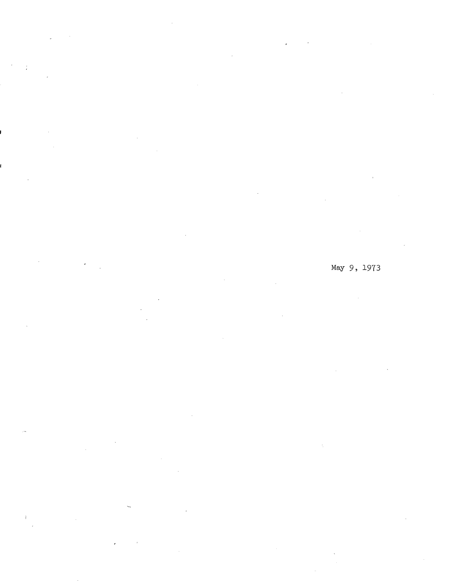# May 9, 1973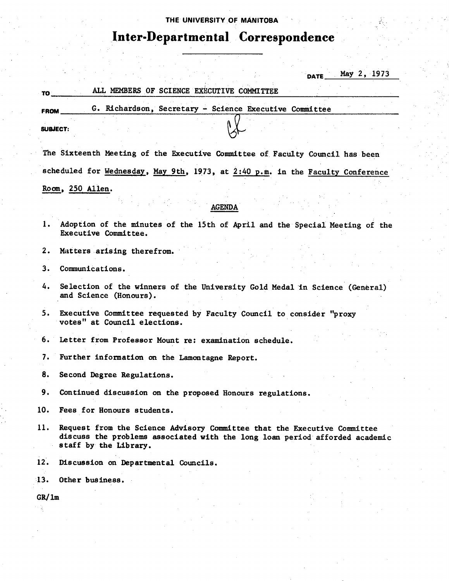#### THE UNIVERSITY **OF MANITOBA**

# **Inter-Departmental Correspondence**

 $_{\text{DATE}}$  May 2, 1973

## **TO** ALL MEMBERS OF SCIENCE EXECUTIVE COMMITTEE

**FROM G.** Richardson, Secretary - Science Executive Committee **SUBJECT:** 

The Sixteenth Meeting of the Executive Committee of Faculty Council has been scheduled for Wednesday, May 9th, 1973, at  $2:40$  p.m. in the Faculty Conference Room, 250Allen.

#### AGENDA

Adoption of the minutes of the 15th of April and the Special Meeting of the  $1.$ Executive Committee.

 $2.$ Matters arising therefrom.

- $3.$ Communications.
- Selection of the winners of the University Gold Medal in Science (General) 4. and Science (Honours).
- Executive Committee requested by Faculty Council to consider "proxy  $5.$ votes" at Council elections.
- Letter from Professor Mount re: examination schedule.  $6.$
- 7. Further information on the Lamontagne Report.

8. Second Degree Regulations.

9. Continued discussion on the proposed Honours regulations.

10. Fees for Honours students.

- 11. Request from the Science Advisory Committee that the Executive Committee discuss the problems associated with the long loan period afforded academic staff by the Library.
- 12. Discussion on Departmental Councils.

Other business.

 $GR/1m$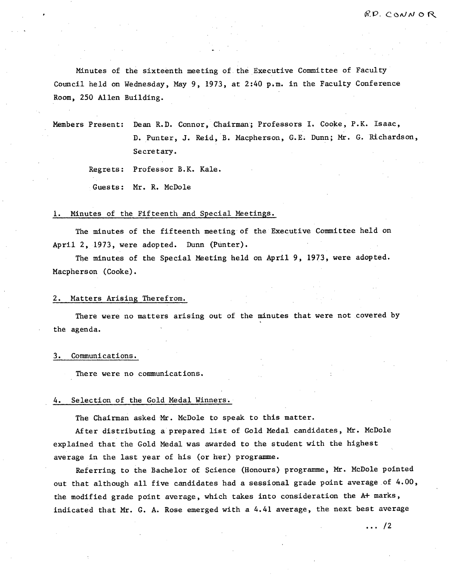Minutes of the sixteenth meeting of. the Executive Committee of Faculty Council held on Wednesday, May 9, 1973, at 2:40 p.m. in the Faculty Conference Room, 250 Allen Building.

Members Present: Dean R.D. Connor, Chairman; Professors I. Cooke, P.K. Isaac, D. Punter, J. Reid, B. Macpherson, G.E. Dunn; Mr. G. Richardson, Secretary.

Regrets: Professor B.K. Kale.

Guests: Mr. R. McDole

#### 1. Minutes of the Fifteenth and Special Meetings.

The minutes of the fifteenth meeting of the Executive Committee held on April 2, 1973, were adopted. Dunn (Punter).

The minutes of the Special Meeting held on April 9, 1973, were adopted. Macpherson (Cooke).

#### 2. Matters Arising Therefrom.

There were no matters arising out of the minutes that were not covered by the agenda.

#### 3. Communications.

There were no communications.

#### 4. Selection of the Gold Medal Winners.

The Chairman asked Mr. McDole to speak to this matter.

After distributing a prepared list of Gold Medal candidates, Mr. McDole explained that the Gold Medal was awarded to the student with the highest average in the last year of his (or her) programme.

Referring to the Bachelor of \$cience (Honours) programme, Mr. McDole pointed out that although all five candidates had a sessional grade point average of 4.00, the modified grade point average, which takes into consideration the A+ marks, indicated that Mr. G. A. Rose emerged with a 4.41 average, the next best average

 $\cdots$  /2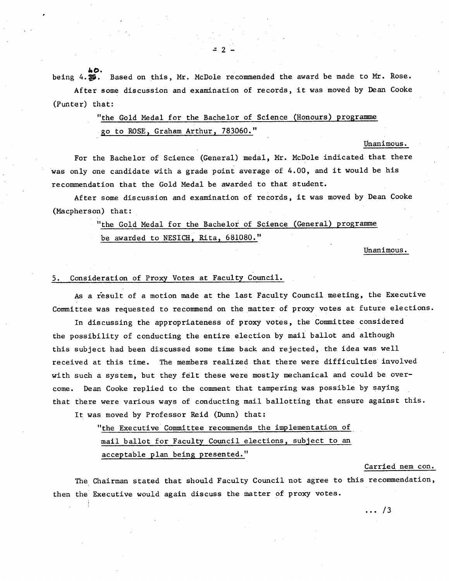being  $4.35$ . Based on this, Mr. McDole recommended the award be made to Mr. Rose. After some discussion and examination of records, it was moved by Dean Cooke

(Punter) that: "the Gold Medal for the Bachelor of Science (Honours) programme

go to ROSE, Graham Arthur, 783060."

 $Unanimous.$ 

For the Bachelor of Science (General) medal, Mr. McDole indicated that there was only one candidate with a grade point average of 4.00, and it would be his recommendation that the Gold Medal be awarded to that student.

After some discussion and examination of records, it was moved by Dean Cooke (Macpherson) that:

> "the Gold Medal for the Bachelor of Science (General) programme be awarded to NESICH, Rita, 681080."

> > Unanimous.

### 5. Consideration of Proxy Votes at Faculty Council.

As a result of a motion made at the last Faculty Council meeting, the Executive Committee was requested to recommend on the matter of proxy votes at future elections.

In discussing the appropriateness of proxy votes, the Committee considered the possibility of conducting the entire election by mail ballot and although this subject had been discussed some time back and rejected, the idea was well received at this time. The members realized.that there were difficulties involved with such a system, but they felt these were mostly mechanical and could be overcome. Dean Cooke replied to the comment that tampering was possible by saying that there were various ways of conducting mail ballotting that ensure against this.

It was moved by Professor Reid (Dunn) that:

"the Executive Committee recommends the implementation of mail ballot for Faculty Council elections, subject to an acceptable plan being presented."

#### Carried nem con.

The Chairman stated that should Faculty Council not agree to this recommendation, then the Executive would again discuss the matter of proxy votes.

 $\ldots$  /3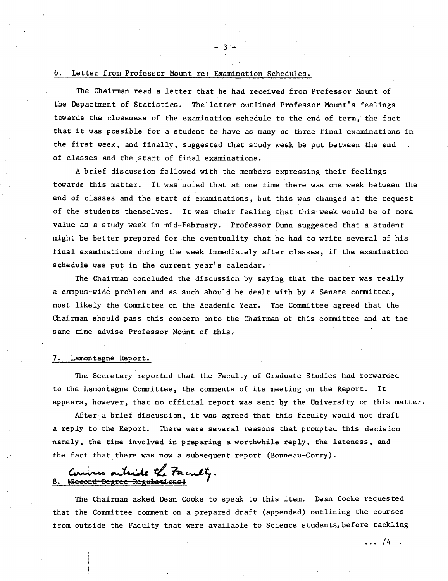#### Letter from Professor Mount re: Examination Schedules.

The Chairman read a letter that he had received from Professor Mount of the Department of Statistics. The letter outlined Professor Mount's feelings towards the closeness of the examination schedule to the end of term, the fact that it was possible for a student to have as many as three final examinations in the first week, and finally, suggested that study week be put between the end of classes and the start of final examinations.

 $-3 -$ 

A brief discussion followed with the members expressing their feelings towards this matter. It was noted that at one time there was one week between the end of classes and the start of examinations, but this was changed at the request of the students themselves. It was their feeling that this week would be of more value as a study week in mid-February. Professor Dunn suggested that a student might be better prepared for the eventuality that he had to write several of his final examinations during the week immediately after classes, if the examination schedule was put in the current year's calendar.

The Chairman concluded the discussion by saying that the matter was really a campus-wide problem and as such should be dealt with by a Senate committee, most likely the Committee on the Academic Year. The Committee agreed that the Chairman should pass this concern onto the Chairman of this committee and at the same time advise Professor Mount of this.

#### Lamontagne Report.

The Secretary reported that the Faculty of Graduate Studies had forwarded to the Lamontagne Committee, the comments of its meeting on the Report. It appears, however, that no official report was sent by the University on this matter.

After a brief discussion, it was agreed that this faculty would not draft a reply to the Report. There were several reasons that prompted this decision namely, the time involved in preparing a worthwhile reply, the lateness, and the fact that there was now a subsequent report (Bonneau-Corry).

Commes outside the Faculty.

The Chairman asked Dean Cooke to speak to this item. Dean Cooke requested that the Committee comment on a prepared draft (appended) outlining the courses from outside the Faculty that were available to Science students, before tackling

 $\cdots$  /4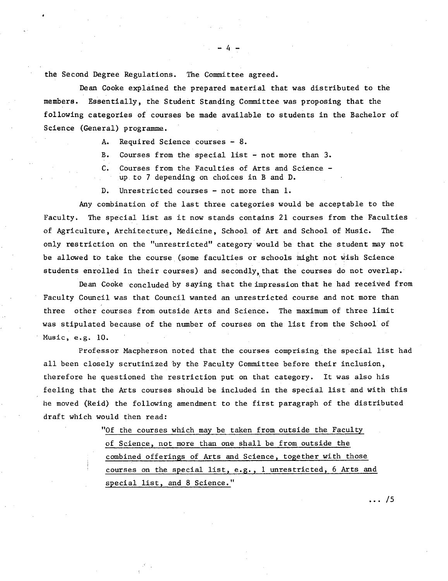the Second Degree Regulations. The Committee agreed.

Dean Cooke explained the prepared material that was distributed to the members. Essentially, the Student Standing Committee was proposing that the following categories of courses be made available to students in the Bachelor of Science (General) programme.

 $-4-$ 

- Required Science courses 8. A.
- B. Courses from the special list - not more than 3.
- $C_{\bullet}$ Courses from the Faculties of Arts and Science up to 7 depending on choices in B and D.
- D. Unrestricted courses - not more than 1.

Any combination of the last three categories would be acceptable to the Faculty. The special list as it now stands contains 21 courses from the Faculties of Agriculture, Architecture, Medicine, School of Art and School of Music. only restriction on the "unrestricted" category would be that the student may not be allowed to take the course (some faculties or schools might not vish Science students enrolled in their courses) and secondly, that the courses do not overlap.

Dean Cooke concluded by saying that the impression that he had received from Faculty Council was that Council wanted an unrestricted course and not more than three other courses from outside Arts and Science. The maximum of three limit was stipulated because of the number of courses on the list from the School of Music, e.g. 10.

Professor Macpherson noted that the courses comprising the special list had all been closely scrutinized by the Faculty Committee before their inclusion, therefore he questioned the restriction put on that category. It was also his feeling that the Arts courses should be included in the special list and with this he moved (Reid) the following amendment to the first paragraph of the distributed draft which would then read:

> "Of the courses which may be taken from outside the Facult of Science, not more than one shall be from outside the combined offerings of Arts and Science, together with those courses on the special list, e.g., 1 unrestricted, 6 Arts and special list, and 8 Science."

> > $\ldots$  /5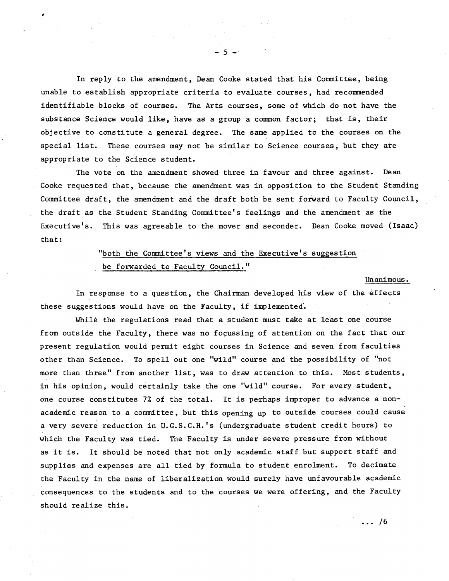In reply to the amendment, Dean Cooke stated that his Committee, being unable to establish appropriate criteria to evaluate courses, had recommended identifiable blocks of courses. The Arts courses, some of which do not have the substance Science would like, have as a group a common factor; that is, their objective to constitute a general degree. The same applied to the courses on the special list. These courses may not be similar to Science courses, but they are appropriate to the Science student.

The vote on the amendment showed three in favour and three against. Dean Cooke requested that, because the amendment was in opposition to the Student Standing Committee draft, the amendment and the draft both be sent forward to Faculty Council, the draft as the Student Standing Committee's feelings and the amendment as the Executive's. This was agreeable to the mover and seconder. Dean Cooke moved (Isaac) that:

# "both the Committee's views and the Executive's suggestion be forwarded to Faculty Council."

 $Unanimous.$ 

In response to a question, the Chairman developed his view of the effects these suggestions would have on the Faculty, if implemented'.

While the regulations read that a student must take at least one course from outside the Faculty, there was no focussing of attention on the fact that our present regulation would permit eight courses in Science and seven from faculties other than Science. To spell out one "wild" course and the possibility of "not more than three" from another list, was to draw attention to this. Most students, in his opinion, would certainly take the one "wild" course. For every student, one course constitutes 7% of the total. It is perhaps improper to advance a nonacademic reason to a committee, but this opening up to outside courses could cause a very severe reduction in U.G.S.C.H.'s (undergraduate student credit hours) to which the Faculty was tied. The Faculty is under severe pressure from without as it is. It should be noted that not only academic staff but support staff and supplies and expenses are all tied by formula to student enrolment. To decimate the Faculty in the name of liberalization would surely have unfavourable academic consequences to the students and to the courses we were offering, and the Faculty should realize this.

 $\ldots$  /6

 $-5 -$ 

**4**